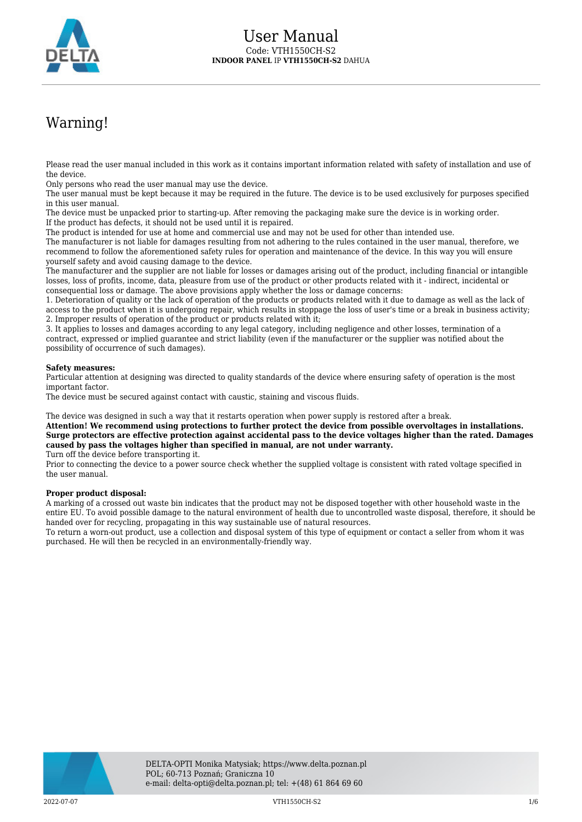

# Warning!

Please read the user manual included in this work as it contains important information related with safety of installation and use of the device.

Only persons who read the user manual may use the device.

The user manual must be kept because it may be required in the future. The device is to be used exclusively for purposes specified in this user manual.

The device must be unpacked prior to starting-up. After removing the packaging make sure the device is in working order. If the product has defects, it should not be used until it is repaired.

The product is intended for use at home and commercial use and may not be used for other than intended use.

The manufacturer is not liable for damages resulting from not adhering to the rules contained in the user manual, therefore, we recommend to follow the aforementioned safety rules for operation and maintenance of the device. In this way you will ensure yourself safety and avoid causing damage to the device.

The manufacturer and the supplier are not liable for losses or damages arising out of the product, including financial or intangible losses, loss of profits, income, data, pleasure from use of the product or other products related with it - indirect, incidental or consequential loss or damage. The above provisions apply whether the loss or damage concerns:

1. Deterioration of quality or the lack of operation of the products or products related with it due to damage as well as the lack of access to the product when it is undergoing repair, which results in stoppage the loss of user's time or a break in business activity; 2. Improper results of operation of the product or products related with it;

3. It applies to losses and damages according to any legal category, including negligence and other losses, termination of a contract, expressed or implied guarantee and strict liability (even if the manufacturer or the supplier was notified about the possibility of occurrence of such damages).

### **Safety measures:**

Particular attention at designing was directed to quality standards of the device where ensuring safety of operation is the most important factor.

The device must be secured against contact with caustic, staining and viscous fluids.

The device was designed in such a way that it restarts operation when power supply is restored after a break.

**Attention! We recommend using protections to further protect the device from possible overvoltages in installations. Surge protectors are effective protection against accidental pass to the device voltages higher than the rated. Damages caused by pass the voltages higher than specified in manual, are not under warranty.**

Turn off the device before transporting it.

Prior to connecting the device to a power source check whether the supplied voltage is consistent with rated voltage specified in the user manual.

### **Proper product disposal:**

A marking of a crossed out waste bin indicates that the product may not be disposed together with other household waste in the entire EU. To avoid possible damage to the natural environment of health due to uncontrolled waste disposal, therefore, it should be handed over for recycling, propagating in this way sustainable use of natural resources.

To return a worn-out product, use a collection and disposal system of this type of equipment or contact a seller from whom it was purchased. He will then be recycled in an environmentally-friendly way.



2022-07-07 VTH1550CH-S2 1/6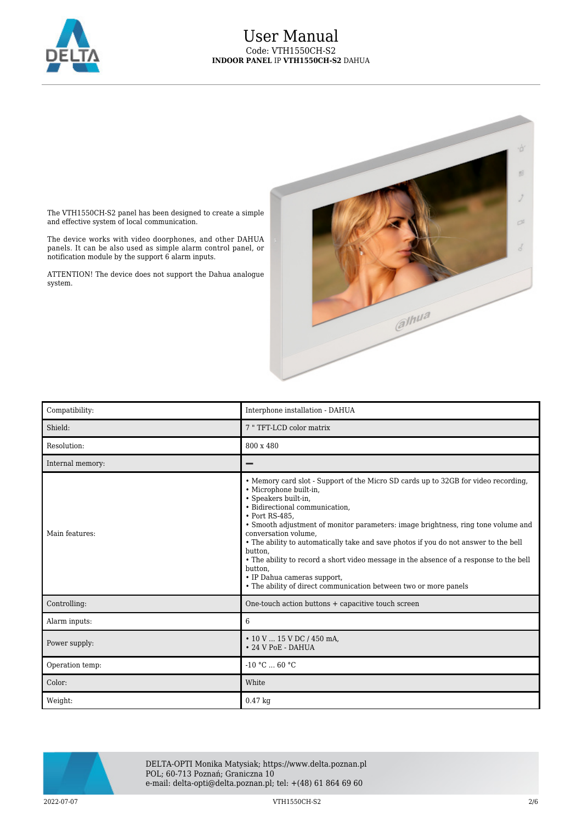

## User Manual Code: VTH1550CH-S2 **INDOOR PANEL** IP **VTH1550CH-S2** DAHUA



The VTH1550CH-S2 panel has been designed to create a simple and effective system of local communication.

The device works with video doorphones, and other DAHUA panels. It can be also used as simple alarm control panel, or notification module by the support 6 alarm inputs.

ATTENTION! The device does not support the Dahua analogue system.

| Compatibility:   | Interphone installation - DAHUA                                                                                                                                                                                                                                                                                                                                                                                                                                                                                                                                                                                  |
|------------------|------------------------------------------------------------------------------------------------------------------------------------------------------------------------------------------------------------------------------------------------------------------------------------------------------------------------------------------------------------------------------------------------------------------------------------------------------------------------------------------------------------------------------------------------------------------------------------------------------------------|
| Shield:          | 7 "TFT-LCD color matrix                                                                                                                                                                                                                                                                                                                                                                                                                                                                                                                                                                                          |
| Resolution:      | 800 x 480                                                                                                                                                                                                                                                                                                                                                                                                                                                                                                                                                                                                        |
| Internal memory: |                                                                                                                                                                                                                                                                                                                                                                                                                                                                                                                                                                                                                  |
| Main features:   | • Memory card slot - Support of the Micro SD cards up to 32GB for video recording,<br>· Microphone built-in,<br>· Speakers built-in,<br>• Bidirectional communication,<br>• Port RS-485.<br>• Smooth adjustment of monitor parameters: image brightness, ring tone volume and<br>conversation volume.<br>• The ability to automatically take and save photos if you do not answer to the bell<br>button.<br>• The ability to record a short video message in the absence of a response to the bell<br>button.<br>• IP Dahua cameras support,<br>• The ability of direct communication between two or more panels |
| Controlling:     | One-touch action buttons + capacitive touch screen                                                                                                                                                                                                                                                                                                                                                                                                                                                                                                                                                               |
| Alarm inputs:    | 6                                                                                                                                                                                                                                                                                                                                                                                                                                                                                                                                                                                                                |
| Power supply:    | $\cdot$ 10 V  15 V DC / 450 mA.<br>• 24 V PoE - DAHUA                                                                                                                                                                                                                                                                                                                                                                                                                                                                                                                                                            |
| Operation temp:  | $-10 °C$ 60 °C                                                                                                                                                                                                                                                                                                                                                                                                                                                                                                                                                                                                   |
| Color:           | White                                                                                                                                                                                                                                                                                                                                                                                                                                                                                                                                                                                                            |
| Weight:          | $0.47$ kg                                                                                                                                                                                                                                                                                                                                                                                                                                                                                                                                                                                                        |



DELTA-OPTI Monika Matysiak; https://www.delta.poznan.pl POL; 60-713 Poznań; Graniczna 10 e-mail: delta-opti@delta.poznan.pl; tel: +(48) 61 864 69 60

2022-07-07 VTH1550CH-S2 2/6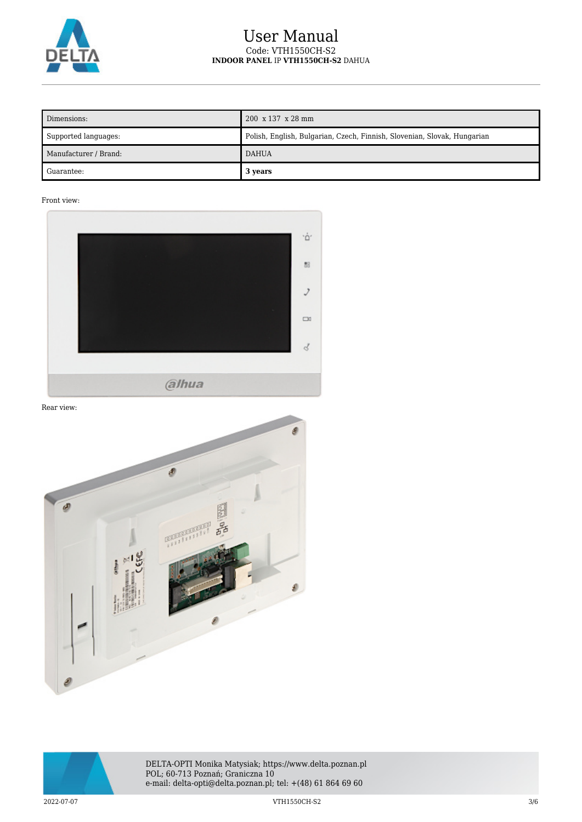

## User Manual Code: VTH1550CH-S2 **INDOOR PANEL** IP **VTH1550CH-S2** DAHUA

| Dimensions:           | 200 x 137 x 28 mm                                                        |
|-----------------------|--------------------------------------------------------------------------|
| Supported languages:  | Polish, English, Bulgarian, Czech, Finnish, Slovenian, Slovak, Hungarian |
| Manufacturer / Brand: | <b>DAHUA</b>                                                             |
| Guarantee:            | 3 years                                                                  |

Front view:



Rear view:





2022-07-07 VTH1550CH-S2 3/6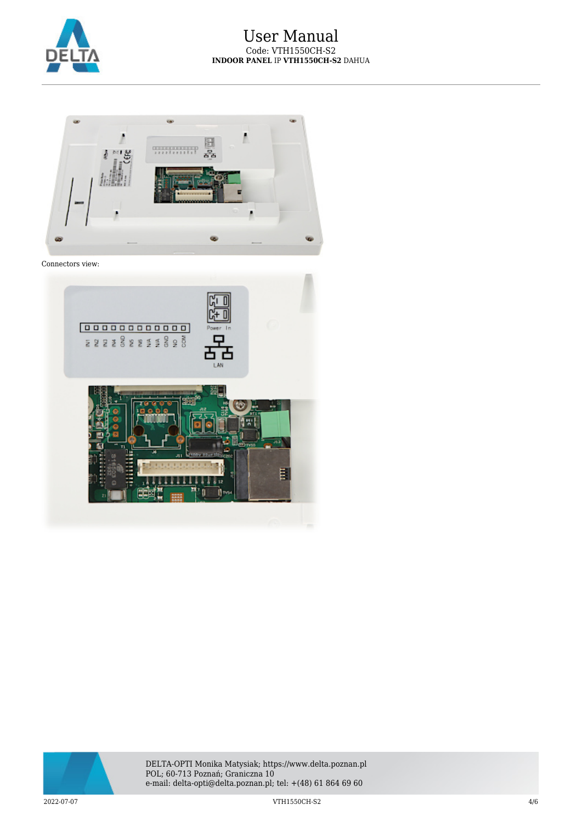



Connectors view:



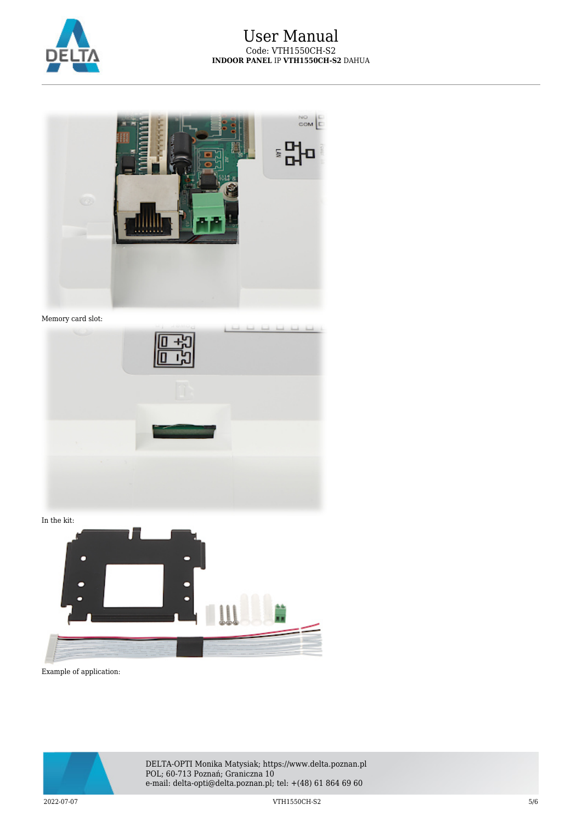



## Memory card slot:



In the kit:



Example of application:



DELTA-OPTI Monika Matysiak; https://www.delta.poznan.pl POL; 60-713 Poznań; Graniczna 10 e-mail: delta-opti@delta.poznan.pl; tel: +(48) 61 864 69 60

2022-07-07 VTH1550CH-S2 5/6